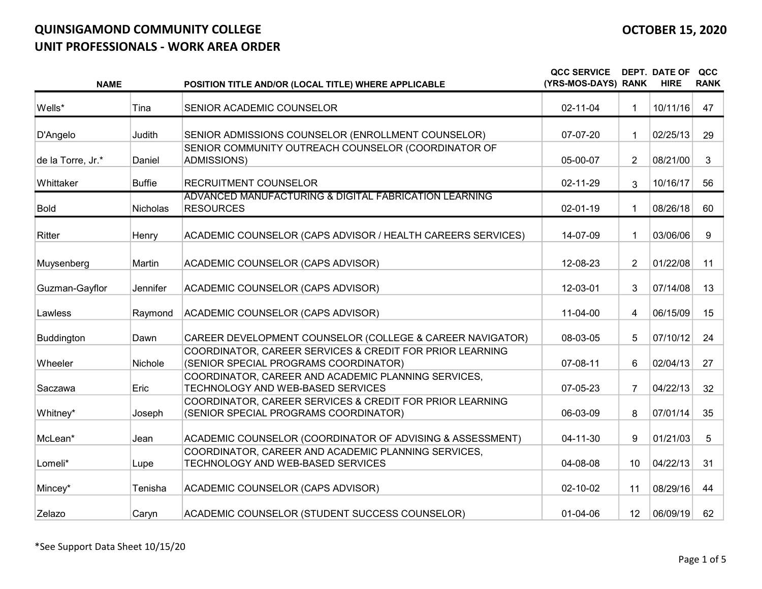| <b>NAME</b>       |               | POSITION TITLE AND/OR (LOCAL TITLE) WHERE APPLICABLE                                              | <b>QCC SERVICE</b><br>(YRS-MOS-DAYS) RANK |                 | DEPT. DATE OF<br><b>HIRE</b> | QCC<br><b>RANK</b> |
|-------------------|---------------|---------------------------------------------------------------------------------------------------|-------------------------------------------|-----------------|------------------------------|--------------------|
| Wells*            | Tina          | SENIOR ACADEMIC COUNSELOR                                                                         | 02-11-04                                  | 1               | 10/11/16                     | 47                 |
| D'Angelo          | Judith        | SENIOR ADMISSIONS COUNSELOR (ENROLLMENT COUNSELOR)                                                | $07-07-20$                                | 1               | 02/25/13                     | 29                 |
| de la Torre, Jr.* | Daniel        | SENIOR COMMUNITY OUTREACH COUNSELOR (COORDINATOR OF<br><b>ADMISSIONS)</b>                         | 05-00-07                                  | $\overline{2}$  | 08/21/00                     | 3                  |
| Whittaker         | <b>Buffie</b> | RECRUITMENT COUNSELOR                                                                             | 02-11-29                                  | 3               | 10/16/17                     | 56                 |
| <b>Bold</b>       | Nicholas      | ADVANCED MANUFACTURING & DIGITAL FABRICATION LEARNING<br><b>RESOURCES</b>                         | $02 - 01 - 19$                            | 1               | 08/26/18                     | 60                 |
| <b>Ritter</b>     | Henry         | ACADEMIC COUNSELOR (CAPS ADVISOR / HEALTH CAREERS SERVICES)                                       | 14-07-09                                  | 1               | 03/06/06                     | 9                  |
| Muysenberg        | Martin        | ACADEMIC COUNSELOR (CAPS ADVISOR)                                                                 | 12-08-23                                  | $\overline{2}$  | 01/22/08                     | 11                 |
| Guzman-Gayflor    | Jennifer      | ACADEMIC COUNSELOR (CAPS ADVISOR)                                                                 | 12-03-01                                  | 3               | 07/14/08                     | 13                 |
| Lawless           | Raymond       | ACADEMIC COUNSELOR (CAPS ADVISOR)                                                                 | 11-04-00                                  | 4               | 06/15/09                     | 15                 |
| Buddington        | Dawn          | CAREER DEVELOPMENT COUNSELOR (COLLEGE & CAREER NAVIGATOR)                                         | 08-03-05                                  | 5               | 07/10/12                     | 24                 |
| Wheeler           | Nichole       | COORDINATOR, CAREER SERVICES & CREDIT FOR PRIOR LEARNING<br>(SENIOR SPECIAL PROGRAMS COORDINATOR) | 07-08-11                                  | 6               | 02/04/13                     | 27                 |
| Saczawa           | Eric          | COORDINATOR, CAREER AND ACADEMIC PLANNING SERVICES,<br>TECHNOLOGY AND WEB-BASED SERVICES          | 07-05-23                                  | $\overline{7}$  | 04/22/13                     | 32 <sup>2</sup>    |
| Whitney*          | Joseph        | COORDINATOR, CAREER SERVICES & CREDIT FOR PRIOR LEARNING<br>(SENIOR SPECIAL PROGRAMS COORDINATOR) | 06-03-09                                  | 8               | 07/01/14                     | 35                 |
| McLean*           | Jean          | ACADEMIC COUNSELOR (COORDINATOR OF ADVISING & ASSESSMENT)                                         | $04 - 11 - 30$                            | 9               | 01/21/03                     | 5                  |
| Lomeli*           | Lupe          | COORDINATOR, CAREER AND ACADEMIC PLANNING SERVICES,<br>TECHNOLOGY AND WEB-BASED SERVICES          | 04-08-08                                  | 10 <sup>°</sup> | 04/22/13                     | 31                 |
| Mincey*           | Tenisha       | ACADEMIC COUNSELOR (CAPS ADVISOR)                                                                 | 02-10-02                                  | 11              | 08/29/16                     | 44                 |
| Zelazo            | Caryn         | ACADEMIC COUNSELOR (STUDENT SUCCESS COUNSELOR)                                                    | $01 - 04 - 06$                            | 12 <sup>2</sup> | 06/09/19                     | 62                 |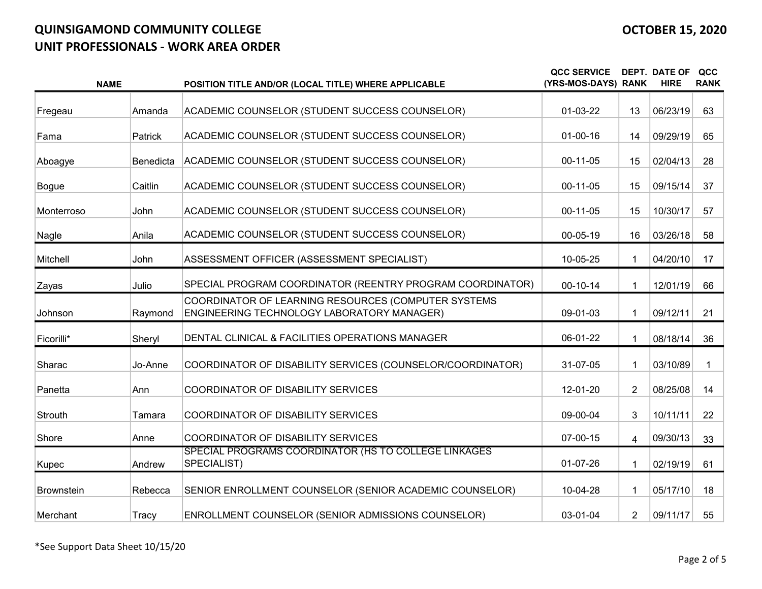| <b>NAME</b>       |           | POSITION TITLE AND/OR (LOCAL TITLE) WHERE APPLICABLE                                              | <b>QCC SERVICE</b><br>(YRS-MOS-DAYS) RANK |                | <b>DEPT. DATE OF</b><br><b>HIRE</b> | QCC<br><b>RANK</b> |
|-------------------|-----------|---------------------------------------------------------------------------------------------------|-------------------------------------------|----------------|-------------------------------------|--------------------|
| Fregeau           | Amanda    | ACADEMIC COUNSELOR (STUDENT SUCCESS COUNSELOR)                                                    | $01-03-22$                                | 13             | 06/23/19                            | 63                 |
| Fama              | Patrick   | ACADEMIC COUNSELOR (STUDENT SUCCESS COUNSELOR)                                                    | $01 - 00 - 16$                            | 14             | 09/29/19                            | 65                 |
| Aboagye           | Benedicta | ACADEMIC COUNSELOR (STUDENT SUCCESS COUNSELOR)                                                    | 00-11-05                                  | 15             | 02/04/13                            | 28                 |
| <b>Bogue</b>      | Caitlin   | ACADEMIC COUNSELOR (STUDENT SUCCESS COUNSELOR)                                                    | 00-11-05                                  | 15             | 09/15/14                            | 37                 |
| Monterroso        | John      | ACADEMIC COUNSELOR (STUDENT SUCCESS COUNSELOR)                                                    | 00-11-05                                  | 15             | 10/30/17                            | 57                 |
| Nagle             | Anila     | ACADEMIC COUNSELOR (STUDENT SUCCESS COUNSELOR)                                                    | $00 - 05 - 19$                            | 16             | 03/26/18                            | 58                 |
| Mitchell          | John      | ASSESSMENT OFFICER (ASSESSMENT SPECIALIST)                                                        | 10-05-25                                  |                | 04/20/10                            | 17                 |
| Zayas             | Julio     | SPECIAL PROGRAM COORDINATOR (REENTRY PROGRAM COORDINATOR)                                         | $00 - 10 - 14$                            | 1              | 12/01/19                            | 66                 |
| Johnson           | Raymond   | COORDINATOR OF LEARNING RESOURCES (COMPUTER SYSTEMS<br>ENGINEERING TECHNOLOGY LABORATORY MANAGER) | 09-01-03                                  | 1              | 09/12/11                            | 21                 |
| Ficorilli*        | Sheryl    | DENTAL CLINICAL & FACILITIES OPERATIONS MANAGER                                                   | 06-01-22                                  |                | 08/18/14                            | 36                 |
| Sharac            | Jo-Anne   | COORDINATOR OF DISABILITY SERVICES (COUNSELOR/COORDINATOR)                                        | 31-07-05                                  | 1              | 03/10/89                            |                    |
| Panetta           | Ann       | COORDINATOR OF DISABILITY SERVICES                                                                | 12-01-20                                  | $\overline{2}$ | 08/25/08                            | 14                 |
| Strouth           | Tamara    | COORDINATOR OF DISABILITY SERVICES                                                                | 09-00-04                                  | 3              | 10/11/11                            | 22                 |
| Shore             | Anne      | COORDINATOR OF DISABILITY SERVICES                                                                | 07-00-15                                  | 4              | 09/30/13                            | 33                 |
| Kupec             | Andrew    | SPECIAL PROGRAMS COORDINATOR (HS TO COLLEGE LINKAGES<br>SPECIALIST)                               | $01-07-26$                                | 1              | 02/19/19                            | 61                 |
| <b>Brownstein</b> | Rebecca   | SENIOR ENROLLMENT COUNSELOR (SENIOR ACADEMIC COUNSELOR)                                           | 10-04-28                                  | 1              | 05/17/10                            | 18                 |
| Merchant          | Tracy     | ENROLLMENT COUNSELOR (SENIOR ADMISSIONS COUNSELOR)                                                | 03-01-04                                  | $\overline{2}$ | 09/11/17                            | 55                 |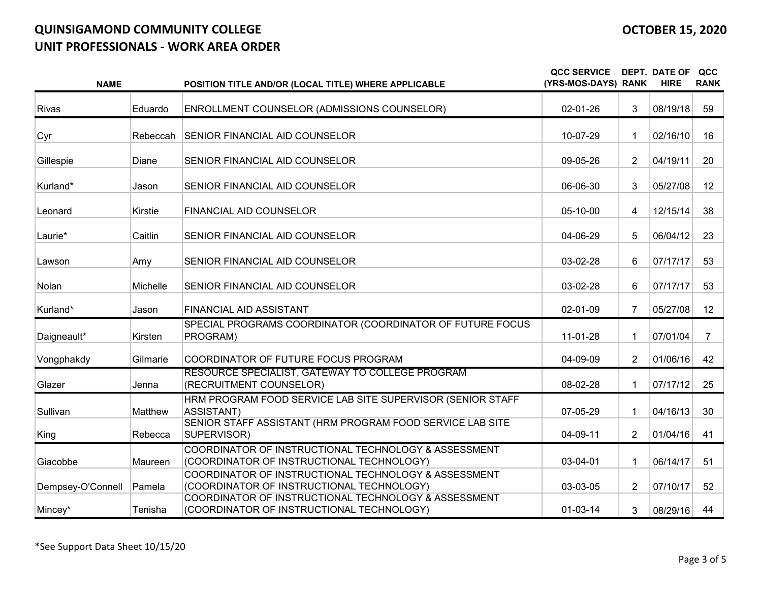| <b>NAME</b>       |          | POSITION TITLE AND/OR (LOCAL TITLE) WHERE APPLICABLE                                              | <b>QCC SERVICE</b><br>(YRS-MOS-DAYS) RANK |                | <b>DEPT. DATE OF</b><br><b>HIRE</b> | QCC<br><b>RANK</b> |
|-------------------|----------|---------------------------------------------------------------------------------------------------|-------------------------------------------|----------------|-------------------------------------|--------------------|
| <b>Rivas</b>      | Eduardo  | ENROLLMENT COUNSELOR (ADMISSIONS COUNSELOR)                                                       | 02-01-26                                  | 3              | 08/19/18                            | 59                 |
| Cyr               |          | Rebeccah SENIOR FINANCIAL AID COUNSELOR                                                           | 10-07-29                                  | 1              | 02/16/10                            | 16                 |
| Gillespie         | Diane    | SENIOR FINANCIAL AID COUNSELOR                                                                    | 09-05-26                                  | $\overline{2}$ | 04/19/11                            | 20                 |
| Kurland*          | Jason    | SENIOR FINANCIAL AID COUNSELOR                                                                    | 06-06-30                                  | 3              | 05/27/08                            | 12                 |
| Leonard           | Kirstie  | <b>FINANCIAL AID COUNSELOR</b>                                                                    | 05-10-00                                  | 4              | 12/15/14                            | 38                 |
| Laurie*           | Caitlin  | SENIOR FINANCIAL AID COUNSELOR                                                                    | 04-06-29                                  | 5              | 06/04/12                            | 23                 |
| Lawson            | Amy      | SENIOR FINANCIAL AID COUNSELOR                                                                    | 03-02-28                                  | 6              | 07/17/17                            | 53                 |
| Nolan             | Michelle | SENIOR FINANCIAL AID COUNSELOR                                                                    | 03-02-28                                  | 6              | 07/17/17                            | 53                 |
| Kurland*          | Jason    | <b>FINANCIAL AID ASSISTANT</b>                                                                    | 02-01-09                                  | $\overline{7}$ | 05/27/08                            | 12                 |
| Daigneault*       | Kirsten  | SPECIAL PROGRAMS COORDINATOR (COORDINATOR OF FUTURE FOCUS<br>PROGRAM)                             | $11-01-28$                                |                | 07/01/04                            | $\overline{7}$     |
| Vongphakdy        | Gilmarie | COORDINATOR OF FUTURE FOCUS PROGRAM                                                               | 04-09-09                                  | $\overline{2}$ | 01/06/16                            | 42                 |
| Glazer            | Jenna    | RESOURCE SPECIALIST, GATEWAY TO COLLEGE PROGRAM<br>(RECRUITMENT COUNSELOR)                        | 08-02-28                                  | 1              | 07/17/12                            | 25                 |
| Sullivan          | Matthew  | HRM PROGRAM FOOD SERVICE LAB SITE SUPERVISOR (SENIOR STAFF<br><b>ASSISTANT)</b>                   | $07-05-29$                                |                | 04/16/13                            | 30                 |
| King              | Rebecca  | SENIOR STAFF ASSISTANT (HRM PROGRAM FOOD SERVICE LAB SITE<br>SUPERVISOR)                          | 04-09-11                                  | $\overline{2}$ | 01/04/16                            | 41                 |
| Giacobbe          | Maureen  | COORDINATOR OF INSTRUCTIONAL TECHNOLOGY & ASSESSMENT<br>(COORDINATOR OF INSTRUCTIONAL TECHNOLOGY) | $03-04-01$                                | 1              | 06/14/17                            | 51                 |
| Dempsey-O'Connell | Pamela   | COORDINATOR OF INSTRUCTIONAL TECHNOLOGY & ASSESSMENT<br>(COORDINATOR OF INSTRUCTIONAL TECHNOLOGY) | 03-03-05                                  | $\overline{2}$ | 07/10/17                            | 52                 |
| Mincey*           | Tenisha  | COORDINATOR OF INSTRUCTIONAL TECHNOLOGY & ASSESSMENT<br>(COORDINATOR OF INSTRUCTIONAL TECHNOLOGY) | $01-03-14$                                | 3              | 08/29/16                            | 44                 |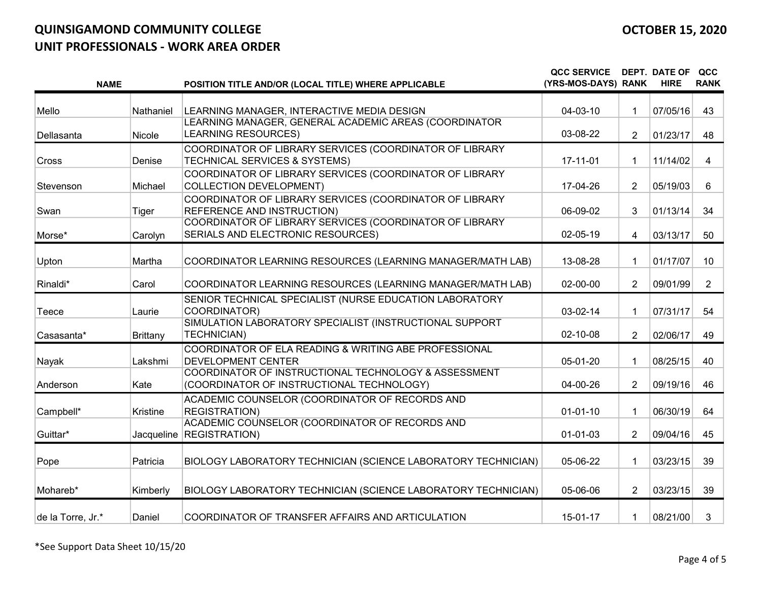| <b>NAME</b>       |                 | POSITION TITLE AND/OR (LOCAL TITLE) WHERE APPLICABLE                                              | <b>QCC SERVICE</b><br>(YRS-MOS-DAYS) RANK |                | <b>DEPT. DATE OF</b><br><b>HIRE</b> | QCC<br><b>RANK</b> |
|-------------------|-----------------|---------------------------------------------------------------------------------------------------|-------------------------------------------|----------------|-------------------------------------|--------------------|
| Mello             | Nathaniel       | LEARNING MANAGER, INTERACTIVE MEDIA DESIGN                                                        | 04-03-10                                  | 1              | 07/05/16                            | 43                 |
| Dellasanta        | Nicole          | LEARNING MANAGER, GENERAL ACADEMIC AREAS (COORDINATOR<br><b>LEARNING RESOURCES)</b>               | 03-08-22                                  | $\overline{2}$ | 01/23/17                            | 48                 |
| Cross             | Denise          | COORDINATOR OF LIBRARY SERVICES (COORDINATOR OF LIBRARY<br>TECHNICAL SERVICES & SYSTEMS)          | 17-11-01                                  |                | 11/14/02                            | 4                  |
| Stevenson         | Michael         | COORDINATOR OF LIBRARY SERVICES (COORDINATOR OF LIBRARY<br><b>COLLECTION DEVELOPMENT)</b>         | 17-04-26                                  | $\overline{2}$ | 05/19/03                            | 6                  |
| Swan              | Tiger           | COORDINATOR OF LIBRARY SERVICES (COORDINATOR OF LIBRARY<br><b>REFERENCE AND INSTRUCTION)</b>      | 06-09-02                                  | 3              | 01/13/14                            | 34                 |
| Morse*            | Carolyn         | COORDINATOR OF LIBRARY SERVICES (COORDINATOR OF LIBRARY<br>SERIALS AND ELECTRONIC RESOURCES)      | 02-05-19                                  | 4              | 03/13/17                            | 50                 |
| Upton             | Martha          | COORDINATOR LEARNING RESOURCES (LEARNING MANAGER/MATH LAB)                                        | 13-08-28                                  | 1              | 01/17/07                            | 10                 |
| Rinaldi*          | Carol           | COORDINATOR LEARNING RESOURCES (LEARNING MANAGER/MATH LAB)                                        | 02-00-00                                  | $\overline{2}$ | 09/01/99                            | $\overline{2}$     |
| Teece             | Laurie          | SENIOR TECHNICAL SPECIALIST (NURSE EDUCATION LABORATORY<br>COORDINATOR)                           | 03-02-14                                  | 1              | 07/31/17                            | 54                 |
| Casasanta*        | <b>Brittany</b> | SIMULATION LABORATORY SPECIALIST (INSTRUCTIONAL SUPPORT<br><b>TECHNICIAN)</b>                     | 02-10-08                                  | $\overline{2}$ | 02/06/17                            | 49                 |
| Nayak             | Lakshmi         | COORDINATOR OF ELA READING & WRITING ABE PROFESSIONAL<br>DEVELOPMENT CENTER                       | 05-01-20                                  |                | 08/25/15                            | 40                 |
| Anderson          | Kate            | COORDINATOR OF INSTRUCTIONAL TECHNOLOGY & ASSESSMENT<br>(COORDINATOR OF INSTRUCTIONAL TECHNOLOGY) | 04-00-26                                  | $\overline{2}$ | 09/19/16                            | 46                 |
| Campbell*         | Kristine        | ACADEMIC COUNSELOR (COORDINATOR OF RECORDS AND<br><b>REGISTRATION)</b>                            | $01 - 01 - 10$                            | 1              | 06/30/19                            | 64                 |
| Guittar*          | Jacqueline      | ACADEMIC COUNSELOR (COORDINATOR OF RECORDS AND<br><b>REGISTRATION)</b>                            | $01 - 01 - 03$                            | 2              | 09/04/16                            | 45                 |
| Pope              | Patricia        | BIOLOGY LABORATORY TECHNICIAN (SCIENCE LABORATORY TECHNICIAN)                                     | 05-06-22                                  | 1              | 03/23/15                            | 39                 |
| Mohareb*          | Kimberly        | BIOLOGY LABORATORY TECHNICIAN (SCIENCE LABORATORY TECHNICIAN)                                     | 05-06-06                                  | $\overline{2}$ | 03/23/15                            | 39                 |
| de la Torre, Jr.* | Daniel          | COORDINATOR OF TRANSFER AFFAIRS AND ARTICULATION                                                  | 15-01-17                                  | 1              | 08/21/00                            | 3                  |